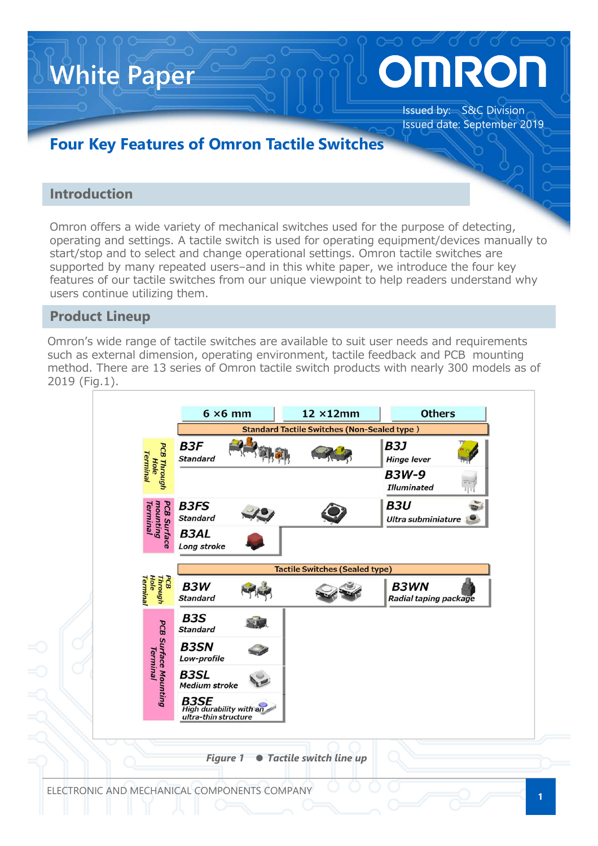# DINROI

Issued by: S&C Division Issued date: September 2019

## **Four Key Features of Omron Tactile Switches**

### **Introduction**

**White Paper**

Omron offers a wide variety of mechanical switches used for the purpose of detecting, operating and settings. A tactile switch is used for operating equipment/devices manually to start/stop and to select and change operational settings. Omron tactile switches are supported by many repeated users–and in this white paper, we introduce the four key features of our tactile switches from our unique viewpoint to help readers understand why users continue utilizing them.

### **Product Lineup**

Omron's wide range of tactile switches are available to suit user needs and requirements such as external dimension, operating environment, tactile feedback and PCB mounting method. There are 13 series of Omron tactile switch products with nearly 300 models as of 2019 (Fig.1).

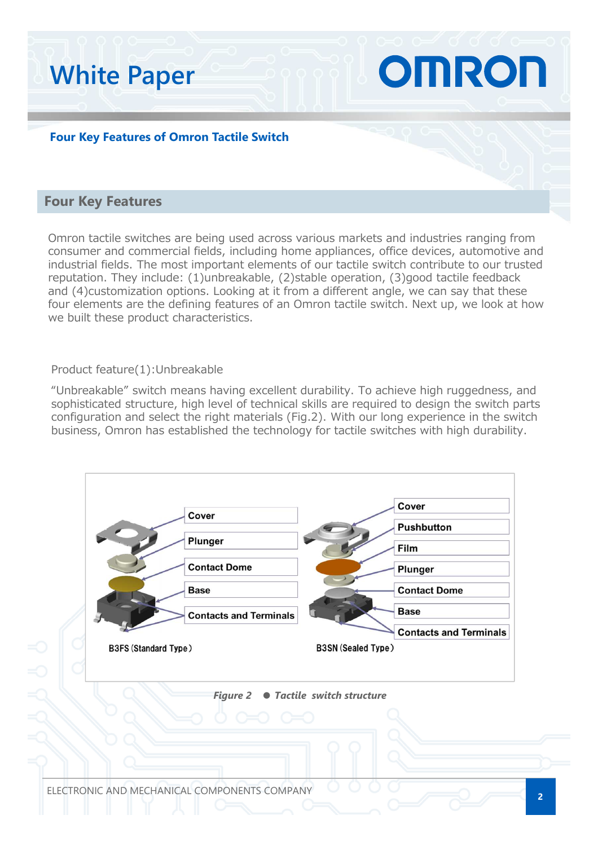#### **Four Key Features of Omron Tactile Switch**

#### **Four Key Features**

**White Paper**

Omron tactile switches are being used across various markets and industries ranging from consumer and commercial fields, including home appliances, office devices, automotive and industrial fields. The most important elements of our tactile switch contribute to our trusted reputation. They include: (1)unbreakable, (2)stable operation, (3)good tactile feedback and (4)customization options. Looking at it from a different angle, we can say that these four elements are the defining features of an Omron tactile switch. Next up, we look at how we built these product characteristics.

OMRON

#### Product feature(1):Unbreakable

"Unbreakable" switch means having excellent durability. To achieve high ruggedness, and sophisticated structure, high level of technical skills are required to design the switch parts configuration and select the right materials (Fig.2). With our long experience in the switch business, Omron has established the technology for tactile switches with high durability.

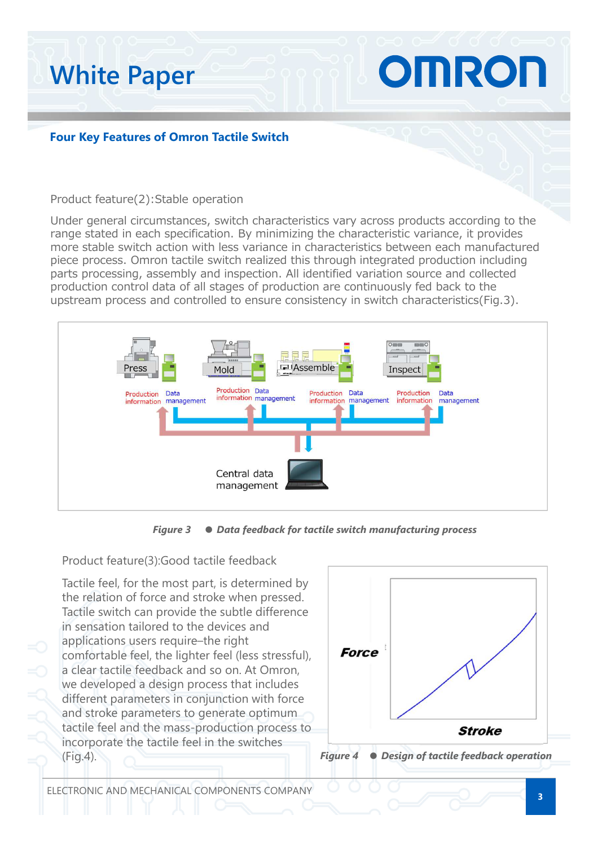# OMRON **White Paper**

#### **Four Key Features of Omron Tactile Switch**

#### Product feature(2):Stable operation

Under general circumstances, switch characteristics vary across products according to the range stated in each specification. By minimizing the characteristic variance, it provides more stable switch action with less variance in characteristics between each manufactured piece process. Omron tactile switch realized this through integrated production including parts processing, assembly and inspection. All identified variation source and collected production control data of all stages of production are continuously fed back to the upstream process and controlled to ensure consistency in switch characteristics(Fig.3).



*Figure 3* ● *Data feedback for tactile switch manufacturing process*

Product feature(3):Good tactile feedback

Tactile feel, for the most part, is determined by the relation of force and stroke when pressed. Tactile switch can provide the subtle difference in sensation tailored to the devices and applications users require–the right comfortable feel, the lighter feel (less stressful), a clear tactile feedback and so on. At Omron, we developed a design process that includes different parameters in conjunction with force and stroke parameters to generate optimum tactile feel and the mass-production process to incorporate the tactile feel in the switches (Fig.4).

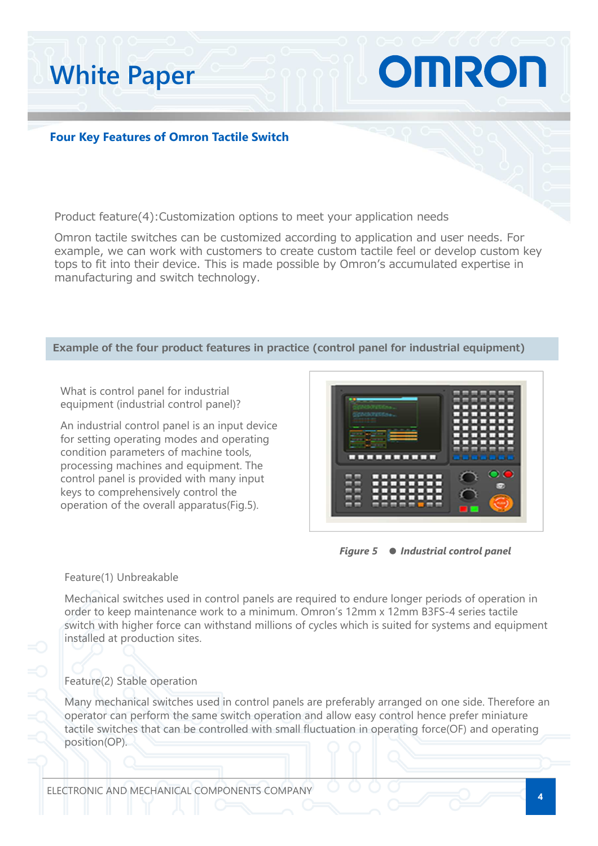**Four Key Features of Omron Tactile Switch**

Product feature(4):Customization options to meet your application needs

Omron tactile switches can be customized according to application and user needs. For example, we can work with customers to create custom tactile feel or develop custom key tops to fit into their device. This is made possible by Omron's accumulated expertise in manufacturing and switch technology.

#### **Example of the four product features in practice (control panel for industrial equipment)**

What is control panel for industrial equipment (industrial control panel)?

**White Paper**

An industrial control panel is an input device for setting operating modes and operating condition parameters of machine tools, processing machines and equipment. The control panel is provided with many input keys to comprehensively control the operation of the overall apparatus(Fig.5).



OMRON



#### Feature(1) Unbreakable

Mechanical switches used in control panels are required to endure longer periods of operation in order to keep maintenance work to a minimum. Omron's 12mm x 12mm B3FS-4 series tactile switch with higher force can withstand millions of cycles which is suited for systems and equipment installed at production sites.

#### Feature(2) Stable operation

Many mechanical switches used in control panels are preferably arranged on one side. Therefore an operator can perform the same switch operation and allow easy control hence prefer miniature tactile switches that can be controlled with small fluctuation in operating force(OF) and operating position(OP).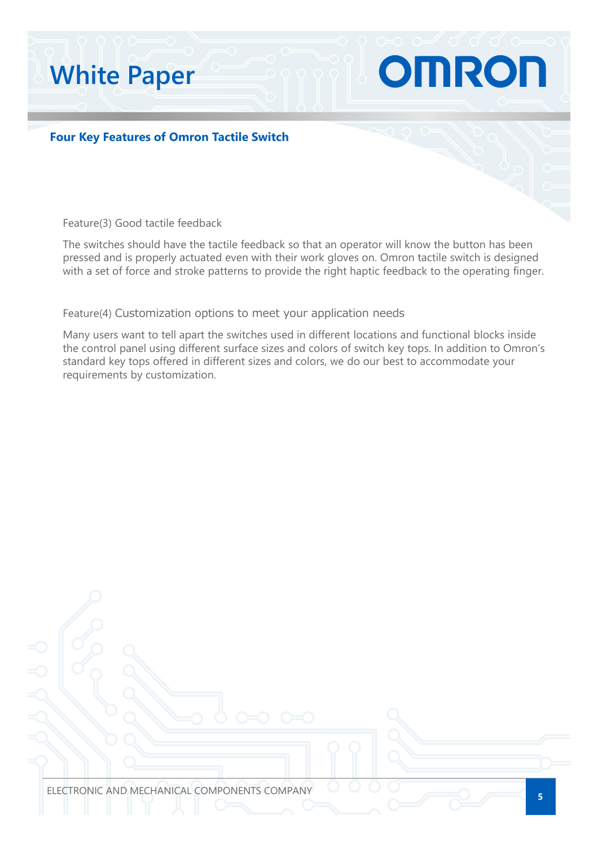# **White Paper**

**Four Key Features of Omron Tactile Switch**

Feature(3) Good tactile feedback

The switches should have the tactile feedback so that an operator will know the button has been pressed and is properly actuated even with their work gloves on. Omron tactile switch is designed with a set of force and stroke patterns to provide the right haptic feedback to the operating finger.

OMRON

Feature(4) Customization options to meet your application needs

Many users want to tell apart the switches used in different locations and functional blocks inside the control panel using different surface sizes and colors of switch key tops. In addition to Omron's standard key tops offered in different sizes and colors, we do our best to accommodate your requirements by customization.